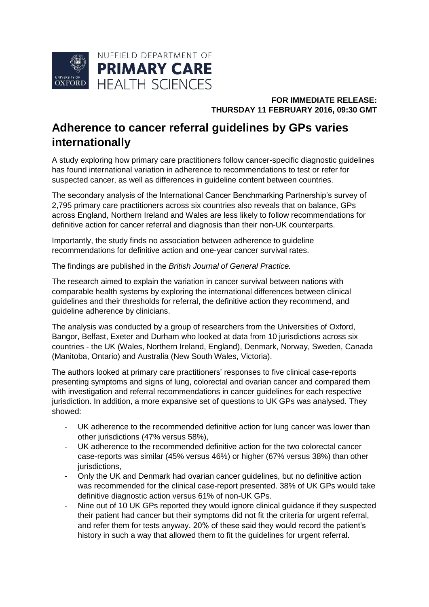

## **FOR IMMEDIATE RELEASE: THURSDAY 11 FEBRUARY 2016, 09:30 GMT**

## **Adherence to cancer referral guidelines by GPs varies internationally**

A study exploring how primary care practitioners follow cancer-specific diagnostic guidelines has found international variation in adherence to recommendations to test or refer for suspected cancer, as well as differences in guideline content between countries.

The secondary analysis of the International Cancer Benchmarking Partnership's survey of 2,795 primary care practitioners across six countries also reveals that on balance, GPs across England, Northern Ireland and Wales are less likely to follow recommendations for definitive action for cancer referral and diagnosis than their non-UK counterparts.

Importantly, the study finds no association between adherence to guideline recommendations for definitive action and one-year cancer survival rates.

The findings are published in the *British Journal of General Practice.*

The research aimed to explain the variation in cancer survival between nations with comparable health systems by exploring the international differences between clinical guidelines and their thresholds for referral, the definitive action they recommend, and guideline adherence by clinicians.

The analysis was conducted by a group of researchers from the Universities of Oxford, Bangor, Belfast, Exeter and Durham who looked at data from 10 jurisdictions across six countries - the UK (Wales, Northern Ireland, England), Denmark, Norway, Sweden, Canada (Manitoba, Ontario) and Australia (New South Wales, Victoria).

The authors looked at primary care practitioners' responses to five clinical case-reports presenting symptoms and signs of lung, colorectal and ovarian cancer and compared them with investigation and referral recommendations in cancer guidelines for each respective jurisdiction. In addition, a more expansive set of questions to UK GPs was analysed. They showed:

- UK adherence to the recommended definitive action for lung cancer was lower than other jurisdictions (47% versus 58%),
- UK adherence to the recommended definitive action for the two colorectal cancer case-reports was similar (45% versus 46%) or higher (67% versus 38%) than other jurisdictions,
- Only the UK and Denmark had ovarian cancer guidelines, but no definitive action was recommended for the clinical case-report presented. 38% of UK GPs would take definitive diagnostic action versus 61% of non-UK GPs.
- Nine out of 10 UK GPs reported they would ignore clinical guidance if they suspected their patient had cancer but their symptoms did not fit the criteria for urgent referral, and refer them for tests anyway. 20% of these said they would record the patient's history in such a way that allowed them to fit the guidelines for urgent referral.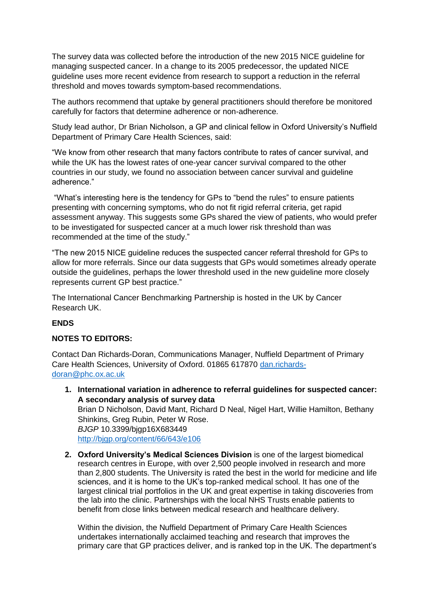The survey data was collected before the introduction of the new 2015 NICE guideline for managing suspected cancer. In a change to its 2005 predecessor, the updated NICE guideline uses more recent evidence from research to support a reduction in the referral threshold and moves towards symptom-based recommendations.

The authors recommend that uptake by general practitioners should therefore be monitored carefully for factors that determine adherence or non-adherence.

Study lead author, Dr Brian Nicholson, a GP and clinical fellow in Oxford University's Nuffield Department of Primary Care Health Sciences, said:

"We know from other research that many factors contribute to rates of cancer survival, and while the UK has the lowest rates of one-year cancer survival compared to the other countries in our study, we found no association between cancer survival and guideline adherence."

"What's interesting here is the tendency for GPs to "bend the rules" to ensure patients presenting with concerning symptoms, who do not fit rigid referral criteria, get rapid assessment anyway. This suggests some GPs shared the view of patients, who would prefer to be investigated for suspected cancer at a much lower risk threshold than was recommended at the time of the study."

"The new 2015 NICE guideline reduces the suspected cancer referral threshold for GPs to allow for more referrals. Since our data suggests that GPs would sometimes already operate outside the guidelines, perhaps the lower threshold used in the new guideline more closely represents current GP best practice."

The International Cancer Benchmarking Partnership is hosted in the UK by Cancer Research UK.

## **ENDS**

## **NOTES TO EDITORS:**

Contact Dan Richards-Doran, Communications Manager, Nuffield Department of Primary Care Health Sciences, University of Oxford. 01865 617870 [dan.richards](mailto:dan.richards-doran@phc.ox.ac.uk)[doran@phc.ox.ac.uk](mailto:dan.richards-doran@phc.ox.ac.uk)

- **1. International variation in adherence to referral guidelines for suspected cancer: A secondary analysis of survey data** Brian D Nicholson, David Mant, Richard D Neal, Nigel Hart, Willie Hamilton, Bethany Shinkins, Greg Rubin, Peter W Rose. *BJGP* 10.3399/bjgp16X683449 <http://bjgp.org/content/66/643/e106>
- **2. Oxford University's Medical Sciences Division** is one of the largest biomedical research centres in Europe, with over 2,500 people involved in research and more than 2,800 students. The University is rated the best in the world for medicine and life sciences, and it is home to the UK's top-ranked medical school. It has one of the largest clinical trial portfolios in the UK and great expertise in taking discoveries from the lab into the clinic. Partnerships with the local NHS Trusts enable patients to benefit from close links between medical research and healthcare delivery.

Within the division, the Nuffield Department of Primary Care Health Sciences undertakes internationally acclaimed teaching and research that improves the primary care that GP practices deliver, and is ranked top in the UK. The department's